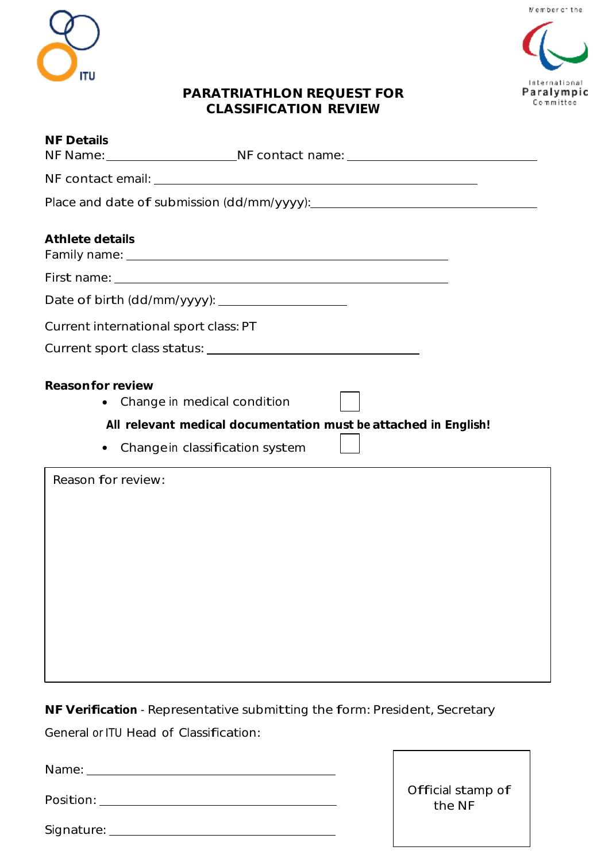

## International Paralympic Committee

## **PARATRIATHLON REQUEST FOR CLASSIFICATION REVIEW**

| <b>NF Details</b><br>NF Name: _________________________NF contact name: _____________________________                                                                            |
|----------------------------------------------------------------------------------------------------------------------------------------------------------------------------------|
|                                                                                                                                                                                  |
|                                                                                                                                                                                  |
| Athlete details                                                                                                                                                                  |
|                                                                                                                                                                                  |
|                                                                                                                                                                                  |
| Current international sport class: PT                                                                                                                                            |
|                                                                                                                                                                                  |
| Reason for review<br>Change in medical condition<br>$\bullet$<br>All relevant medical documentation must be attached in English!<br>Change in classification system<br>$\bullet$ |
| Reason for review:                                                                                                                                                               |

**NF Verification** - Representative submitting the form: President, Secretary

General or ITU Head of Classification:

Name:

Position:

| Signature: |  |
|------------|--|
|            |  |

Official stamp of the NF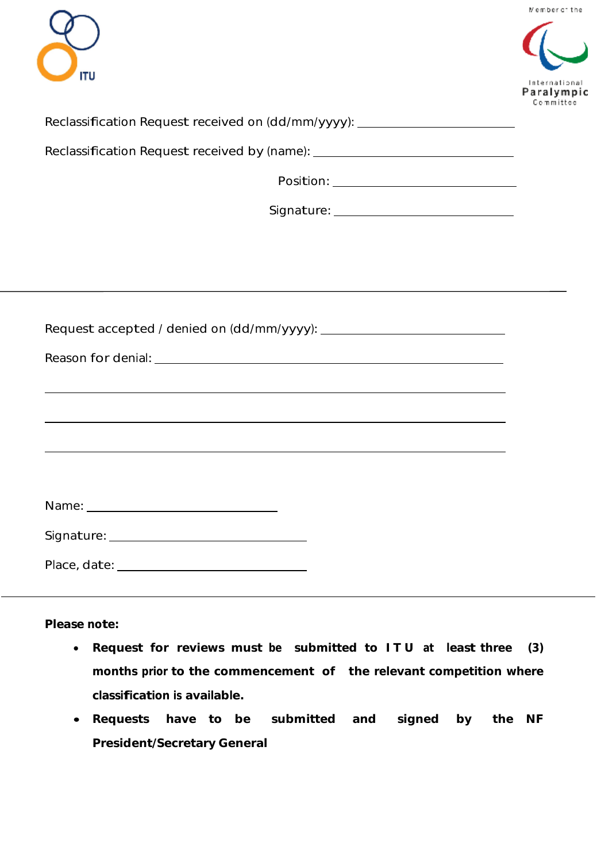



| Reclassification Request received on (dd/mm/yyyy): |  |  |  |  |
|----------------------------------------------------|--|--|--|--|

Reclassification Request received by (name): \_\_\_\_\_\_\_\_\_\_\_\_\_\_\_\_\_\_\_\_\_\_\_\_\_\_\_\_\_\_\_\_\_\_\_

Position:

Signature:

| ,我们也不会有什么。""我们的人,我们也不会有什么?""我们的人,我们也不会有什么?""我们的人,我们也不会有什么?""我们的人,我们也不会有什么?""我们的人 |  |
|----------------------------------------------------------------------------------|--|
|                                                                                  |  |
|                                                                                  |  |
|                                                                                  |  |

**Please note:**

- **Request for reviews must be submitted to I T U at least three (3) months prior to the commencement of the relevant competition where classification is available.**
- **Requests have to be submitted and signed by the NF President/Secretary General**